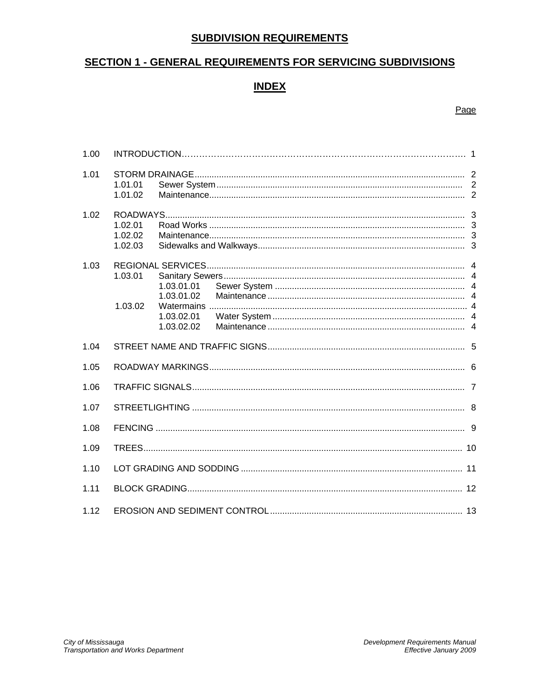# **SUBDIVISION REQUIREMENTS**

# **SECTION 1 - GENERAL REQUIREMENTS FOR SERVICING SUBDIVISIONS**

# **INDEX**

## Page

| 1.00 |                               |                                                      |  |
|------|-------------------------------|------------------------------------------------------|--|
| 1.01 | 1.01.01<br>1.01.02            |                                                      |  |
| 1.02 | 1.02.01<br>1.02.02<br>1.02.03 |                                                      |  |
| 1.03 | 1.03.01<br>1.03.02            | 1.03.01.01<br>1.03.01.02<br>1.03.02.01<br>1.03.02.02 |  |
| 1.04 |                               |                                                      |  |
| 1.05 |                               |                                                      |  |
| 1.06 |                               |                                                      |  |
| 1.07 |                               |                                                      |  |
| 1.08 |                               |                                                      |  |
| 1.09 |                               |                                                      |  |
| 1.10 |                               |                                                      |  |
| 1.11 |                               |                                                      |  |
| 1.12 |                               |                                                      |  |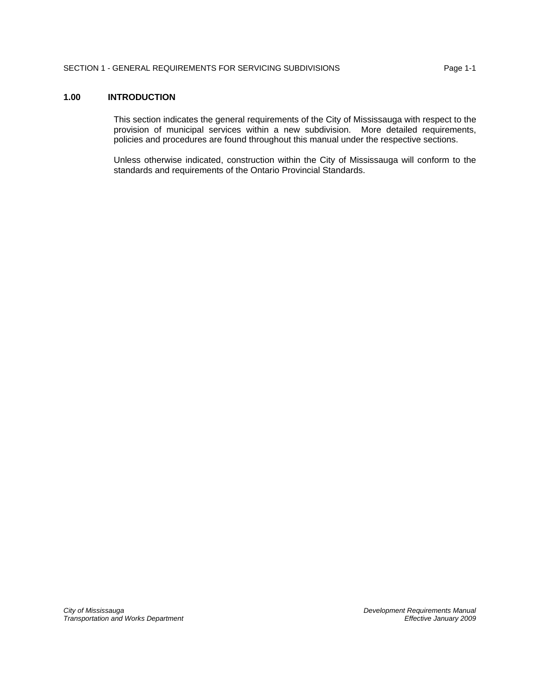# **1.00 INTRODUCTION**

This section indicates the general requirements of the City of Mississauga with respect to the provision of municipal services within a new subdivision. More detailed requirements, policies and procedures are found throughout this manual under the respective sections.

Unless otherwise indicated, construction within the City of Mississauga will conform to the standards and requirements of the Ontario Provincial Standards.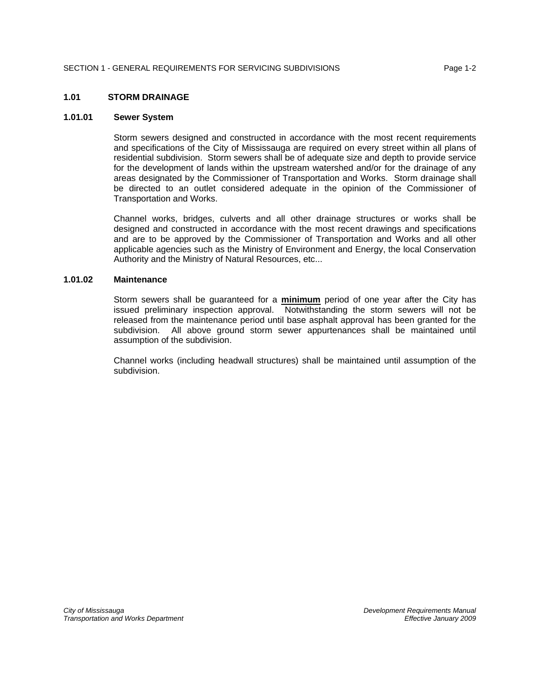#### **1.01 STORM DRAINAGE**

#### **1.01.01 Sewer System**

Storm sewers designed and constructed in accordance with the most recent requirements and specifications of the City of Mississauga are required on every street within all plans of residential subdivision. Storm sewers shall be of adequate size and depth to provide service for the development of lands within the upstream watershed and/or for the drainage of any areas designated by the Commissioner of Transportation and Works. Storm drainage shall be directed to an outlet considered adequate in the opinion of the Commissioner of Transportation and Works.

Channel works, bridges, culverts and all other drainage structures or works shall be designed and constructed in accordance with the most recent drawings and specifications and are to be approved by the Commissioner of Transportation and Works and all other applicable agencies such as the Ministry of Environment and Energy, the local Conservation Authority and the Ministry of Natural Resources, etc...

#### **1.01.02 Maintenance**

Storm sewers shall be guaranteed for a **minimum** period of one year after the City has issued preliminary inspection approval. Notwithstanding the storm sewers will not be released from the maintenance period until base asphalt approval has been granted for the subdivision. All above ground storm sewer appurtenances shall be maintained until assumption of the subdivision.

Channel works (including headwall structures) shall be maintained until assumption of the subdivision.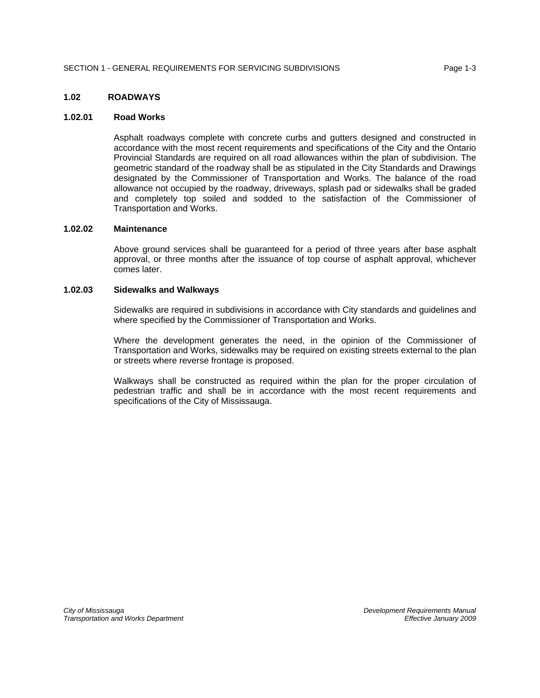#### **1.02 ROADWAYS**

#### **1.02.01 Road Works**

Asphalt roadways complete with concrete curbs and gutters designed and constructed in accordance with the most recent requirements and specifications of the City and the Ontario Provincial Standards are required on all road allowances within the plan of subdivision. The geometric standard of the roadway shall be as stipulated in the City Standards and Drawings designated by the Commissioner of Transportation and Works. The balance of the road allowance not occupied by the roadway, driveways, splash pad or sidewalks shall be graded and completely top soiled and sodded to the satisfaction of the Commissioner of Transportation and Works.

#### **1.02.02 Maintenance**

Above ground services shall be guaranteed for a period of three years after base asphalt approval, or three months after the issuance of top course of asphalt approval, whichever comes later.

#### **1.02.03 Sidewalks and Walkways**

Sidewalks are required in subdivisions in accordance with City standards and guidelines and where specified by the Commissioner of Transportation and Works.

Where the development generates the need, in the opinion of the Commissioner of Transportation and Works, sidewalks may be required on existing streets external to the plan or streets where reverse frontage is proposed.

Walkways shall be constructed as required within the plan for the proper circulation of pedestrian traffic and shall be in accordance with the most recent requirements and specifications of the City of Mississauga.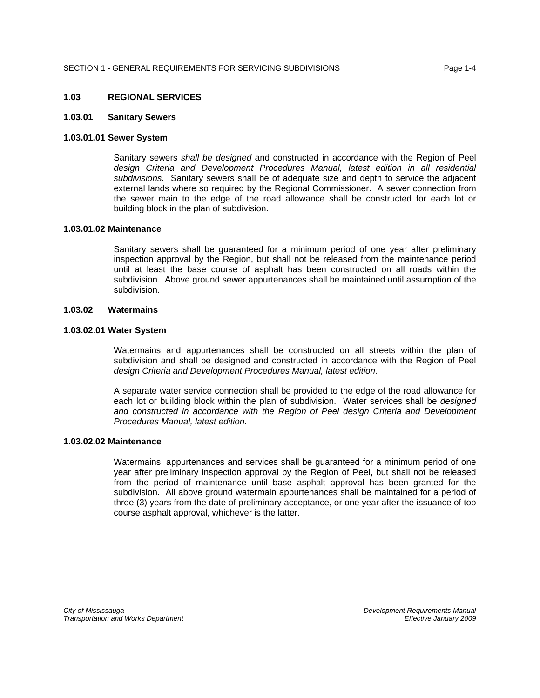#### **1.03 REGIONAL SERVICES**

#### **1.03.01 Sanitary Sewers**

#### **1.03.01.01 Sewer System**

Sanitary sewers *shall be designed* and constructed in accordance with the Region of Peel design Criteria and Development Procedures Manual, latest edition in all residential *subdivisions.* Sanitary sewers shall be of adequate size and depth to service the adjacent external lands where so required by the Regional Commissioner. A sewer connection from the sewer main to the edge of the road allowance shall be constructed for each lot or building block in the plan of subdivision.

#### **1.03.01.02 Maintenance**

Sanitary sewers shall be guaranteed for a minimum period of one year after preliminary inspection approval by the Region, but shall not be released from the maintenance period until at least the base course of asphalt has been constructed on all roads within the subdivision. Above ground sewer appurtenances shall be maintained until assumption of the subdivision.

### **1.03.02 Watermains**

#### **1.03.02.01 Water System**

Watermains and appurtenances shall be constructed on all streets within the plan of subdivision and shall be designed and constructed in accordance with the Region of Peel *design Criteria and Development Procedures Manual, latest edition.*

A separate water service connection shall be provided to the edge of the road allowance for each lot or building block within the plan of subdivision. Water services shall be *designed and constructed in accordance with the Region of Peel design Criteria and Development Procedures Manual, latest edition.*

#### **1.03.02.02 Maintenance**

Watermains, appurtenances and services shall be guaranteed for a minimum period of one year after preliminary inspection approval by the Region of Peel, but shall not be released from the period of maintenance until base asphalt approval has been granted for the subdivision. All above ground watermain appurtenances shall be maintained for a period of three (3) years from the date of preliminary acceptance, or one year after the issuance of top course asphalt approval, whichever is the latter.

*City of Mississauga Development Requirements Manual Transportation and Works Department Effective January 2009*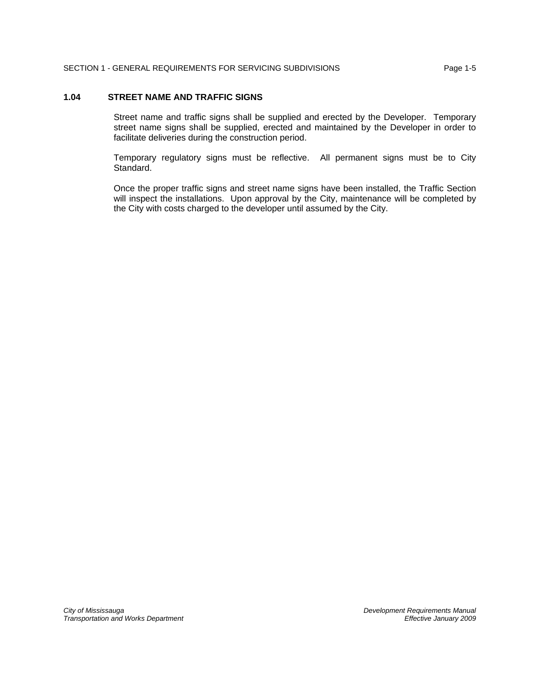# **1.04 STREET NAME AND TRAFFIC SIGNS**

Street name and traffic signs shall be supplied and erected by the Developer. Temporary street name signs shall be supplied, erected and maintained by the Developer in order to facilitate deliveries during the construction period.

Temporary regulatory signs must be reflective. All permanent signs must be to City Standard.

Once the proper traffic signs and street name signs have been installed, the Traffic Section will inspect the installations. Upon approval by the City, maintenance will be completed by the City with costs charged to the developer until assumed by the City.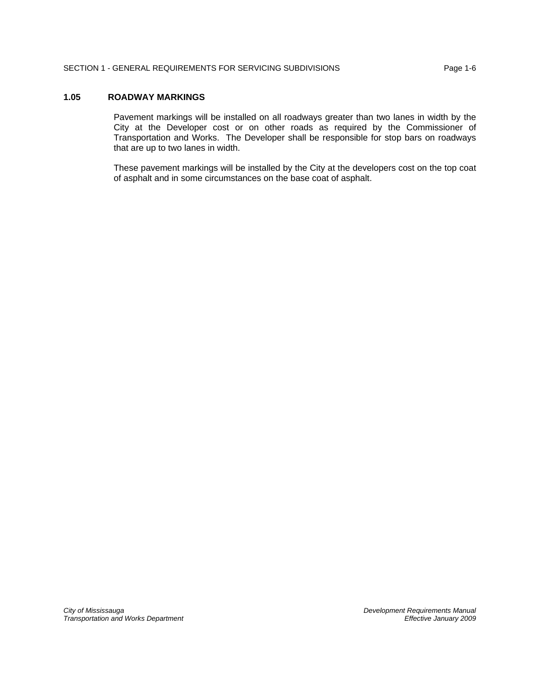## **1.05 ROADWAY MARKINGS**

Pavement markings will be installed on all roadways greater than two lanes in width by the City at the Developer cost or on other roads as required by the Commissioner of Transportation and Works. The Developer shall be responsible for stop bars on roadways that are up to two lanes in width.

These pavement markings will be installed by the City at the developers cost on the top coat of asphalt and in some circumstances on the base coat of asphalt.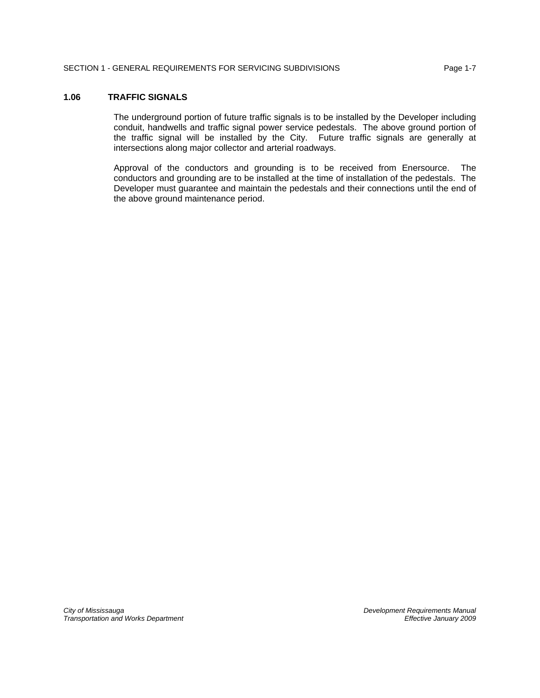### **1.06 TRAFFIC SIGNALS**

The underground portion of future traffic signals is to be installed by the Developer including conduit, handwells and traffic signal power service pedestals. The above ground portion of the traffic signal will be installed by the City. Future traffic signals are generally at intersections along major collector and arterial roadways.

Approval of the conductors and grounding is to be received from Enersource. The conductors and grounding are to be installed at the time of installation of the pedestals. The Developer must guarantee and maintain the pedestals and their connections until the end of the above ground maintenance period.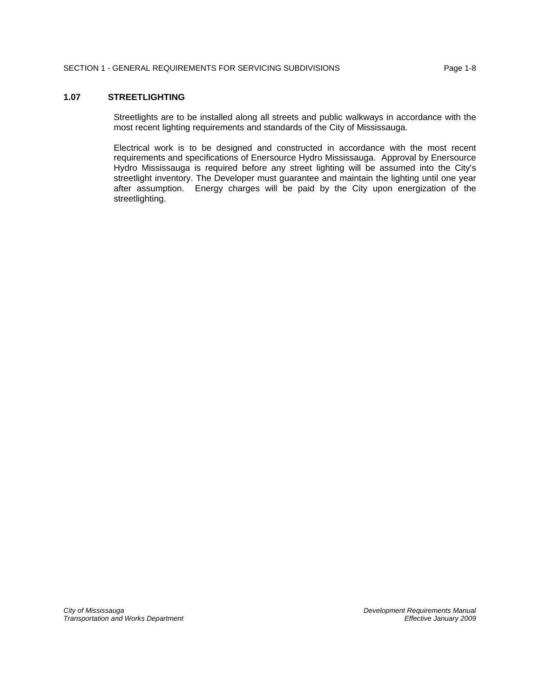### **1.07 STREETLIGHTING**

Streetlights are to be installed along all streets and public walkways in accordance with the most recent lighting requirements and standards of the City of Mississauga.

Electrical work is to be designed and constructed in accordance with the most recent requirements and specifications of Enersource Hydro Mississauga. Approval by Enersource Hydro Mississauga is required before any street lighting will be assumed into the City's streetlight inventory. The Developer must guarantee and maintain the lighting until one year after assumption. Energy charges will be paid by the City upon energization of the streetlighting.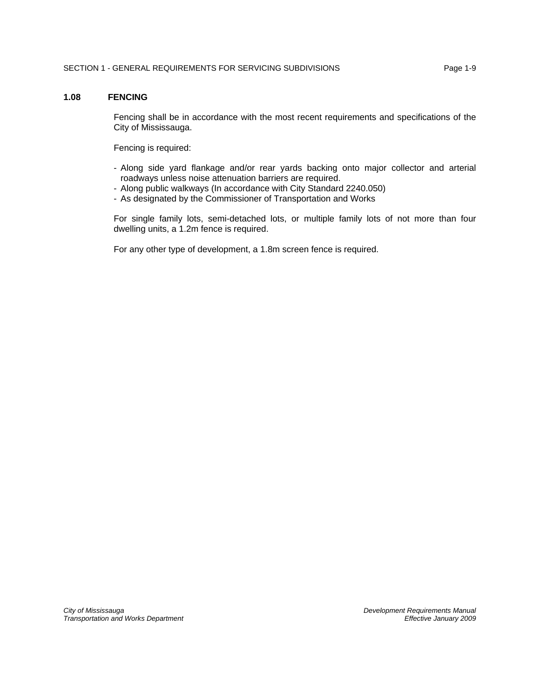## **1.08 FENCING**

Fencing shall be in accordance with the most recent requirements and specifications of the City of Mississauga.

Fencing is required:

- Along side yard flankage and/or rear yards backing onto major collector and arterial roadways unless noise attenuation barriers are required.
- Along public walkways (In accordance with City Standard 2240.050)
- As designated by the Commissioner of Transportation and Works

For single family lots, semi-detached lots, or multiple family lots of not more than four dwelling units, a 1.2m fence is required.

For any other type of development, a 1.8m screen fence is required.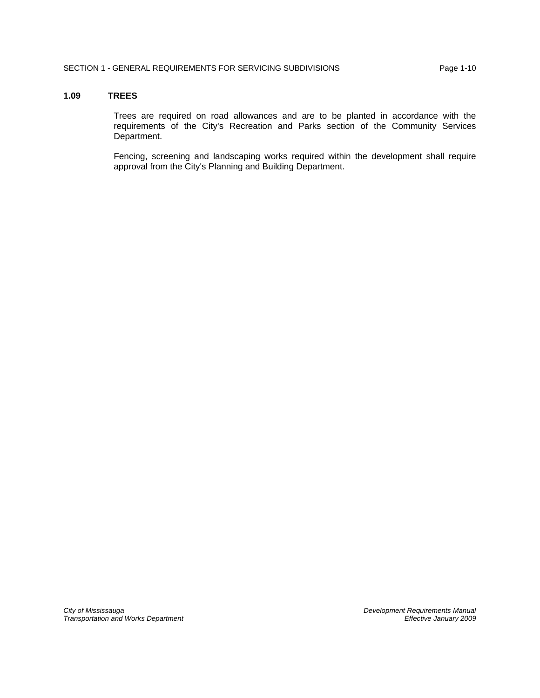#### **1.09 TREES**

Trees are required on road allowances and are to be planted in accordance with the requirements of the City's Recreation and Parks section of the Community Services Department.

Fencing, screening and landscaping works required within the development shall require approval from the City's Planning and Building Department.

*City of Mississauga Development Requirements Manual Transportation and Works Department*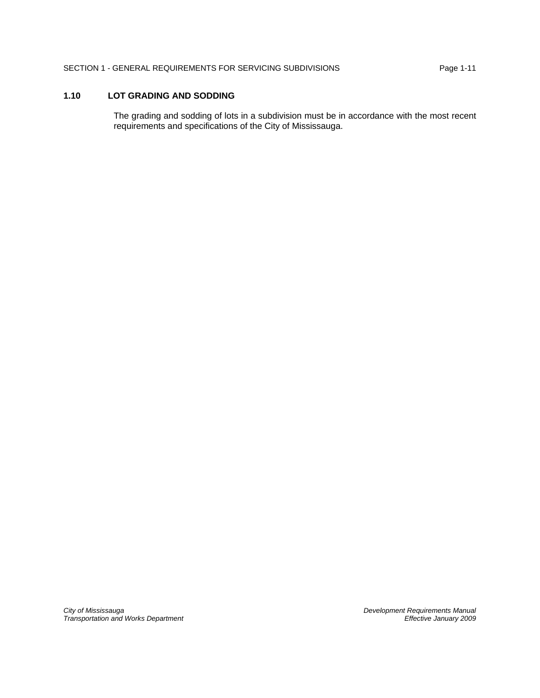# **1.10 LOT GRADING AND SODDING**

The grading and sodding of lots in a subdivision must be in accordance with the most recent requirements and specifications of the City of Mississauga.

*City of Mississauga Development Requirements Manual Transportation and Works Department Effective January 2009*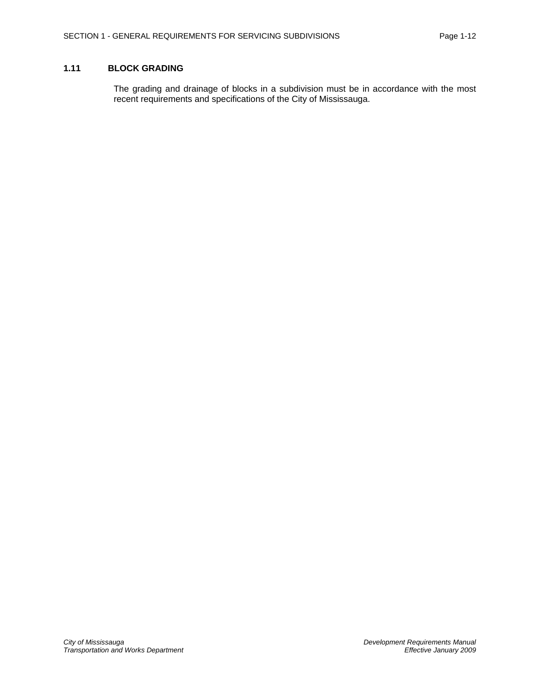## **1.11 BLOCK GRADING**

The grading and drainage of blocks in a subdivision must be in accordance with the most recent requirements and specifications of the City of Mississauga.